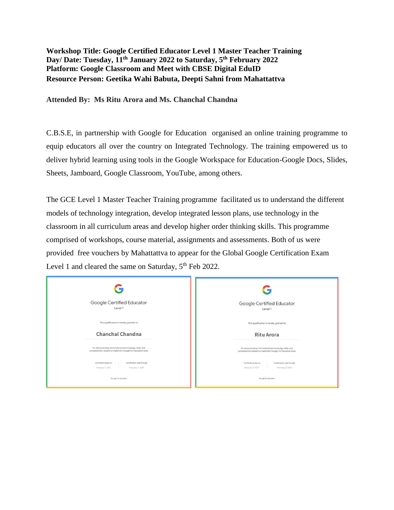## **Workshop Title: Google Certified Educator Level 1 Master Teacher Training Day/ Date: Tuesday, 11th January 2022 to Saturday, 5 th February 2022 Platform: Google Classroom and Meet with CBSE Digital EduID Resource Person: Geetika Wahi Babuta, Deepti Sahni from Mahattattva**

**Attended By: Ms Ritu Arora and Ms. Chanchal Chandna**

C.B.S.E, in partnership with Google for Education organised an online training programme to equip educators all over the country on Integrated Technology. The training empowered us to deliver hybrid learning using tools in the Google Workspace for Education-Google Docs, Slides, Sheets, Jamboard, Google Classroom, YouTube, among others.

The GCE Level 1 Master Teacher Training programme facilitated us to understand the different models of technology integration, develop integrated lesson plans, use technology in the classroom in all curriculum areas and develop higher order thinking skills. This programme comprised of workshops, course material, assignments and assessments. Both of us were provided free vouchers by Mahattattva to appear for the Global Google Certification Exam Level 1 and cleared the same on Saturday,  $5<sup>th</sup>$  Feb 2022.

|                                                                                                                          | G                                                                                                                        |
|--------------------------------------------------------------------------------------------------------------------------|--------------------------------------------------------------------------------------------------------------------------|
| Google Certified Educator<br>Level 1                                                                                     | Google Certified Educator<br>Level 1                                                                                     |
| This qualification is hereby granted to                                                                                  | This qualification is hereby granted to                                                                                  |
| <b>Chanchal Chandna</b>                                                                                                  | <b>Ritu Arora</b>                                                                                                        |
| for demonstrating the fundamental knowledge, skills, and<br>competencies needed to implement Google for Education tools. | for demonstrating the fundamental knowledge, skills, and<br>competencies needed to implement Google for Education tools. |
| Certification valid through<br>Certificate issued on<br>February 7, 2022<br>February 7, 2025                             | Certification valid through<br>Certificate issued on<br>February 7, 2022<br>February 7, 2025                             |
| Google for Education                                                                                                     | Google for Education                                                                                                     |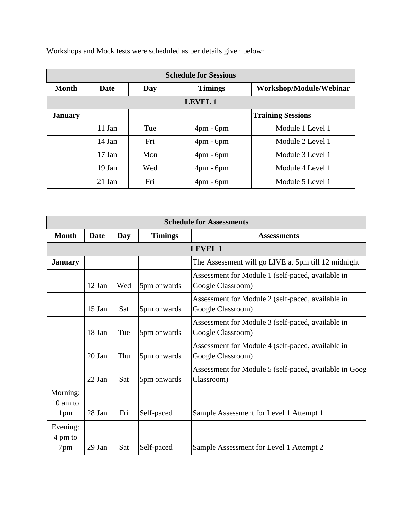Workshops and Mock tests were scheduled as per details given below:

| <b>Schedule for Sessions</b> |          |     |                               |                          |  |  |
|------------------------------|----------|-----|-------------------------------|--------------------------|--|--|
| <b>Month</b>                 | Date     | Day | <b>Timings</b>                | Workshop/Module/Webinar  |  |  |
| <b>LEVEL 1</b>               |          |     |                               |                          |  |  |
| <b>January</b>               |          |     |                               | <b>Training Sessions</b> |  |  |
|                              | 11 Jan   | Tue | $4 \text{pm}$ - $6 \text{pm}$ | Module 1 Level 1         |  |  |
|                              | 14 Jan   | Fri | $4 \text{pm}$ - $6 \text{pm}$ | Module 2 Level 1         |  |  |
|                              | $17$ Jan | Mon | $4 \text{pm}$ - $6 \text{pm}$ | Module 3 Level 1         |  |  |
|                              | 19 Jan   | Wed | $4 \text{pm}$ - $6 \text{pm}$ | Module 4 Level 1         |  |  |
|                              | 21 Jan   | Fri | $4pm$ - 6 $pm$                | Module 5 Level 1         |  |  |

| <b>Schedule for Assessments</b> |                |     |                |                                                                        |  |  |
|---------------------------------|----------------|-----|----------------|------------------------------------------------------------------------|--|--|
| <b>Month</b>                    | <b>Date</b>    | Day | <b>Timings</b> | <b>Assessments</b>                                                     |  |  |
|                                 | <b>LEVEL 1</b> |     |                |                                                                        |  |  |
| <b>January</b>                  |                |     |                | The Assessment will go LIVE at 5pm till 12 midnight                    |  |  |
|                                 | 12 Jan         | Wed | 5pm onwards    | Assessment for Module 1 (self-paced, available in<br>Google Classroom) |  |  |
|                                 | $15$ Jan       | Sat | 5pm onwards    | Assessment for Module 2 (self-paced, available in<br>Google Classroom) |  |  |
|                                 | 18 Jan         | Tue | 5pm onwards    | Assessment for Module 3 (self-paced, available in<br>Google Classroom) |  |  |
|                                 | 20 Jan         | Thu | 5pm onwards    | Assessment for Module 4 (self-paced, available in<br>Google Classroom) |  |  |
|                                 | $22$ Jan       | Sat | 5pm onwards    | Assessment for Module 5 (self-paced, available in Goog<br>Classroom)   |  |  |
| Morning:<br>$10 \text{ am to}$  |                |     |                |                                                                        |  |  |
| 1pm                             | 28 Jan         | Fri | Self-paced     | Sample Assessment for Level 1 Attempt 1                                |  |  |
| Evening:<br>4 pm to             |                |     |                |                                                                        |  |  |
| 7pm                             | 29 Jan         | Sat | Self-paced     | Sample Assessment for Level 1 Attempt 2                                |  |  |